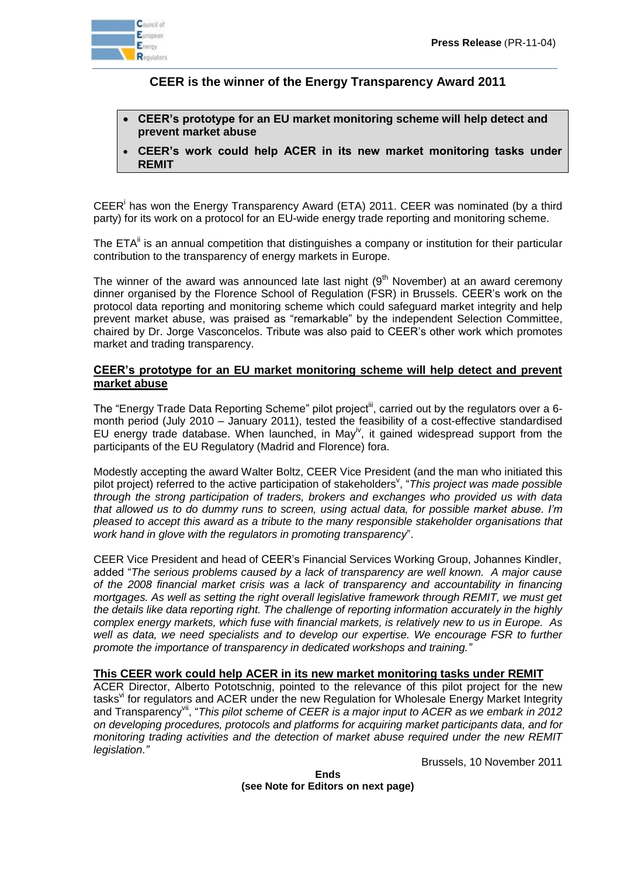

## **CEER is the winner of the Energy Transparency Award 2011**

- **CEER's prototype for an EU market monitoring scheme will help detect and prevent market abuse**
- **CEER's work could help ACER in its new market monitoring tasks under REMIT**

CEER<sup>i</sup> has won the Energy Transparency Award (ETA) 2011. CEER was nominated (by a third party) for its work on a protocol for an EU-wide energy trade reporting and monitoring scheme.

The ETA<sup>ii</sup> is an annual competition that distinguishes a company or institution for their particular contribution to the transparency of energy markets in Europe.

The winner of the award was announced late last night  $(9<sup>th</sup>$  November) at an award ceremony dinner organised by the Florence School of Regulation (FSR) in Brussels. CEER's work on the protocol data reporting and monitoring scheme which could safeguard market integrity and help prevent market abuse, was praised as "remarkable" by the independent Selection Committee, chaired by Dr. Jorge Vasconcelos. Tribute was also paid to CEER's other work which promotes market and trading transparency.

## **CEER's prototype for an EU market monitoring scheme will help detect and prevent market abuse**

The "Energy Trade Data Reporting Scheme" pilot project<sup>iii</sup>, carried out by the regulators over a 6month period (July 2010 – January 2011), tested the feasibility of a cost-effective standardised EU energy trade database. When launched, in May<sup>iv</sup>, it gained widespread support from the participants of the EU Regulatory (Madrid and Florence) fora.

Modestly accepting the award Walter Boltz, CEER Vice President (and the man who initiated this pilot project) referred to the active participation of stakeholders<sup>v</sup>, "*This project was made possible through the strong participation of traders, brokers and exchanges who provided us with data that allowed us to do dummy runs to screen, using actual data, for possible market abuse. I'm pleased to accept this award as a tribute to the many responsible stakeholder organisations that work hand in glove with the regulators in promoting transparency*".

CEER Vice President and head of CEER's Financial Services Working Group, Johannes Kindler, added "*The serious problems caused by a lack of transparency are well known. A major cause of the 2008 financial market crisis was a lack of transparency and accountability in financing mortgages. As well as setting the right overall legislative framework through REMIT, we must get the details like data reporting right. The challenge of reporting information accurately in the highly complex energy markets, which fuse with financial markets, is relatively new to us in Europe. As well as data, we need specialists and to develop our expertise. We encourage FSR to further promote the importance of transparency in dedicated workshops and training."*

## **This CEER work could help ACER in its new market monitoring tasks under REMIT**

ACER Director, Alberto Pototschnig, pointed to the relevance of this pilot project for the new tasks<sup>vi</sup> for regulators and ACER under the new Regulation for Wholesale Energy Market Integrity and Transparency<sup>vii</sup>, "This pilot scheme of CEER is a major input to ACER as we embark in 2012 *on developing procedures, protocols and platforms for acquiring market participants data, and for monitoring trading activities and the detection of market abuse required under the new REMIT legislation."*

Brussels, 10 November 2011

**Ends (see Note for Editors on next page)**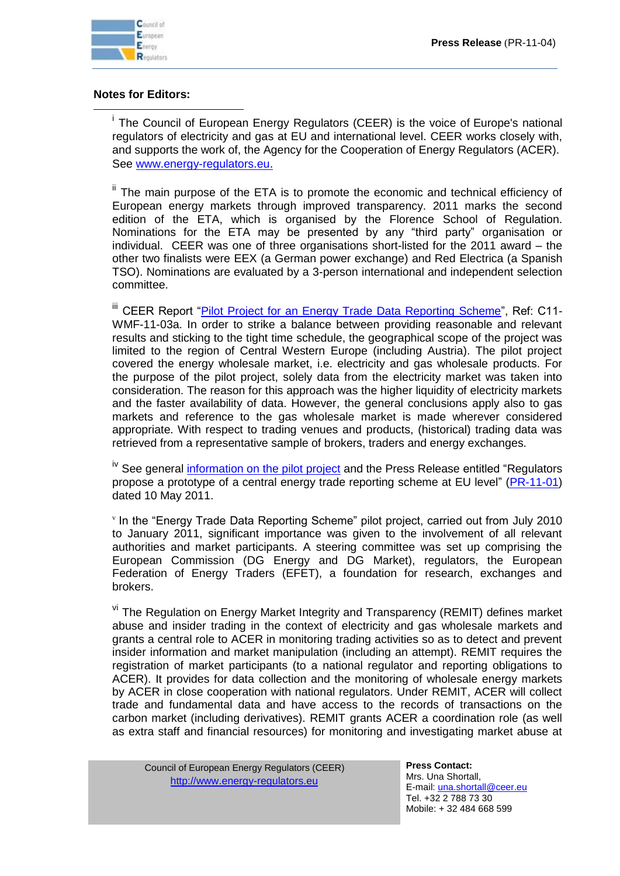

 $\overline{a}$ 

## **Notes for Editors:**

<sup>i</sup> The Council of European Energy Regulators (CEER) is the voice of Europe's national regulators of electricity and gas at EU and international level. CEER works closely with, and supports the work of, the Agency for the Cooperation of Energy Regulators (ACER). See [www.energy-regulators.eu](http://www.energy-regulators.eu/).

<sup>ii</sup> The main purpose of the ETA is to promote the economic and technical efficiency of European energy markets through improved transparency. 2011 marks the second edition of the ETA, which is organised by the Florence School of Regulation. Nominations for the ETA may be presented by any "third party" organisation or individual. CEER was one of three organisations short-listed for the 2011 award – the other two finalists were EEX (a German power exchange) and Red Electrica (a Spanish TSO). Nominations are evaluated by a 3-person international and independent selection committee.

iii CEER Report ["Pilot Project for an Energy Trade Data Reporting Scheme"](http://www.energy-regulators.eu/portal/page/portal/EER_HOME/EER_PUBLICATIONS/CEER_PAPERS/Cross-Sectoral/2011/C11-WMF-11-03a_FinalReport-ETDRS-I_4-May-2011.pdf), Ref: C11-WMF-11-03a. In order to strike a balance between providing reasonable and relevant results and sticking to the tight time schedule, the geographical scope of the project was limited to the region of Central Western Europe (including Austria). The pilot project covered the energy wholesale market, i.e. electricity and gas wholesale products. For the purpose of the pilot project, solely data from the electricity market was taken into consideration. The reason for this approach was the higher liquidity of electricity markets and the faster availability of data. However, the general conclusions apply also to gas markets and reference to the gas wholesale market is made wherever considered appropriate. With respect to trading venues and products, (historical) trading data was retrieved from a representative sample of brokers, traders and energy exchanges.

<sup>iv</sup> See general [information on the pilot project](http://www.energy-regulators.eu/portal/page/portal/EER_HOME/EER_ACTIVITIES/Financial%20Services%20WG/Pilot%20-%20Energy%20Trade%20Data%20Reporting) and the Press Release entitled "Regulators" propose a prototype of a central energy trade reporting scheme at EU level" [\(PR-11-01\)](http://www.energy-regulators.eu/portal/page/portal/EER_HOME/EER_PUBLICATIONS/PRESS_RELEASES/Tab1/PR-11-01_EnergyTradeDataReportingScheme-2011-05-10.doc) dated 10 May 2011.

v In the "Energy Trade Data Reporting Scheme" pilot project, carried out from July 2010 to January 2011, significant importance was given to the involvement of all relevant authorities and market participants. A steering committee was set up comprising the European Commission (DG Energy and DG Market), regulators, the European Federation of Energy Traders (EFET), a foundation for research, exchanges and brokers.

vi The Regulation on Energy Market Integrity and Transparency (REMIT) defines market abuse and insider trading in the context of electricity and gas wholesale markets and grants a central role to ACER in monitoring trading activities so as to detect and prevent insider information and market manipulation (including an attempt). REMIT requires the registration of market participants (to a national regulator and reporting obligations to ACER). It provides for data collection and the monitoring of wholesale energy markets by ACER in close cooperation with national regulators. Under REMIT, ACER will collect trade and fundamental data and have access to the records of transactions on the carbon market (including derivatives). REMIT grants ACER a coordination role (as well as extra staff and financial resources) for monitoring and investigating market abuse at

| Council of European Energy Regulators (CEER) |
|----------------------------------------------|
| http://www.energy-regulators.eu              |

**Press Contact:** Mrs. Una Shortall, E-mail: una.shortall@ceer.eu Tel. +32 2 788 73 30 Mobile: + 32 484 668 599